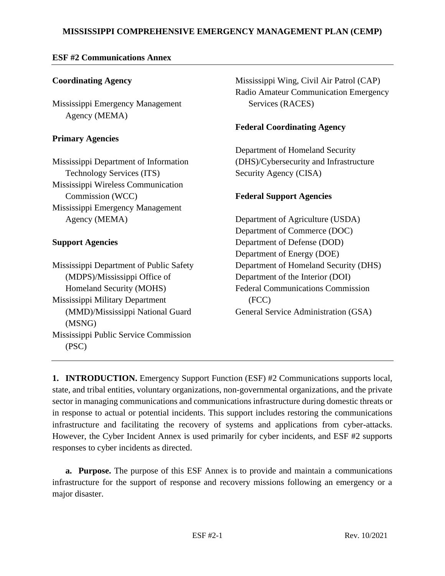## **MISSISSIPPI COMPREHENSIVE EMERGENCY MANAGEMENT PLAN (CEMP)**

### **ESF #2 Communications Annex**

### **Coordinating Agency**

Mississippi Emergency Management Agency (MEMA)

### **Primary Agencies**

Mississippi Department of Information Technology Services (ITS) Mississippi Wireless Communication Commission (WCC) Mississippi Emergency Management Agency (MEMA)

### **Support Agencies**

Mississippi Department of Public Safety (MDPS)/Mississippi Office of Homeland Security (MOHS) Mississippi Military Department (MMD)/Mississippi National Guard (MSNG) Mississippi Public Service Commission (PSC)

Mississippi Wing, Civil Air Patrol (CAP) Radio Amateur Communication Emergency Services (RACES)

### **Federal Coordinating Agency**

Department of Homeland Security (DHS)/Cybersecurity and Infrastructure Security Agency (CISA)

### **Federal Support Agencies**

Department of Agriculture (USDA) Department of Commerce (DOC) Department of Defense (DOD) Department of Energy (DOE) Department of Homeland Security (DHS) Department of the Interior (DOI) Federal Communications Commission (FCC) General Service Administration (GSA)

**1. INTRODUCTION.** Emergency Support Function (ESF) #2 Communications supports local, state, and tribal entities, voluntary organizations, non-governmental organizations, and the private sector in managing communications and communications infrastructure during domestic threats or in response to actual or potential incidents. This support includes restoring the communications infrastructure and facilitating the recovery of systems and applications from cyber-attacks. However, the Cyber Incident Annex is used primarily for cyber incidents, and ESF #2 supports responses to cyber incidents as directed.

**a. Purpose.** The purpose of this ESF Annex is to provide and maintain a communications infrastructure for the support of response and recovery missions following an emergency or a major disaster.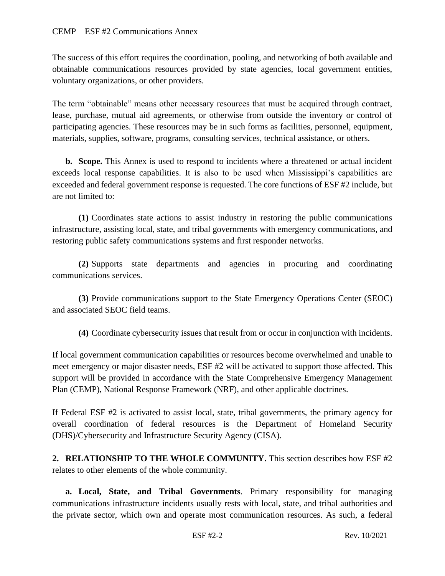The success of this effort requires the coordination, pooling, and networking of both available and obtainable communications resources provided by state agencies, local government entities, voluntary organizations, or other providers.

The term "obtainable" means other necessary resources that must be acquired through contract, lease, purchase, mutual aid agreements, or otherwise from outside the inventory or control of participating agencies. These resources may be in such forms as facilities, personnel, equipment, materials, supplies, software, programs, consulting services, technical assistance, or others.

**b. Scope.** This Annex is used to respond to incidents where a threatened or actual incident exceeds local response capabilities. It is also to be used when Mississippi's capabilities are exceeded and federal government response is requested. The core functions of ESF #2 include, but are not limited to:

**(1)** Coordinates state actions to assist industry in restoring the public communications infrastructure, assisting local, state, and tribal governments with emergency communications, and restoring public safety communications systems and first responder networks.

**(2)** Supports state departments and agencies in procuring and coordinating communications services.

**(3)** Provide communications support to the State Emergency Operations Center (SEOC) and associated SEOC field teams.

**(4)** Coordinate cybersecurity issues that result from or occur in conjunction with incidents.

If local government communication capabilities or resources become overwhelmed and unable to meet emergency or major disaster needs, ESF #2 will be activated to support those affected. This support will be provided in accordance with the State Comprehensive Emergency Management Plan (CEMP), National Response Framework (NRF), and other applicable doctrines.

If Federal ESF #2 is activated to assist local, state, tribal governments, the primary agency for overall coordination of federal resources is the Department of Homeland Security (DHS)/Cybersecurity and Infrastructure Security Agency (CISA).

**2. RELATIONSHIP TO THE WHOLE COMMUNITY.** This section describes how ESF #2 relates to other elements of the whole community.

**a. Local, State, and Tribal Governments**. Primary responsibility for managing communications infrastructure incidents usually rests with local, state, and tribal authorities and the private sector, which own and operate most communication resources. As such, a federal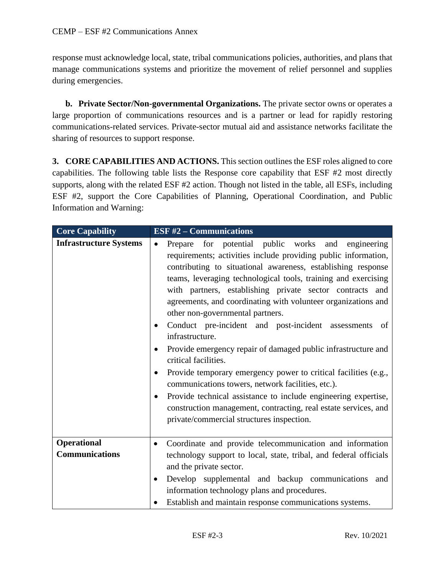response must acknowledge local, state, tribal communications policies, authorities, and plans that manage communications systems and prioritize the movement of relief personnel and supplies during emergencies.

**b. Private Sector/Non-governmental Organizations.** The private sector owns or operates a large proportion of communications resources and is a partner or lead for rapidly restoring communications-related services. Private-sector mutual aid and assistance networks facilitate the sharing of resources to support response.

**3. CORE CAPABILITIES AND ACTIONS.** This section outlines the ESF roles aligned to core capabilities. The following table lists the Response core capability that ESF #2 most directly supports, along with the related ESF #2 action. Though not listed in the table, all ESFs, including ESF #2, support the Core Capabilities of Planning, Operational Coordination, and Public Information and Warning:

| <b>Core Capability</b>                      | ESF $#2$ – Communications                                                                                                                                                                                                                                                                                                                                                                                                                                                                                                                                                                                                                                                                                                                                                                                                                                                                                                 |
|---------------------------------------------|---------------------------------------------------------------------------------------------------------------------------------------------------------------------------------------------------------------------------------------------------------------------------------------------------------------------------------------------------------------------------------------------------------------------------------------------------------------------------------------------------------------------------------------------------------------------------------------------------------------------------------------------------------------------------------------------------------------------------------------------------------------------------------------------------------------------------------------------------------------------------------------------------------------------------|
| <b>Infrastructure Systems</b>               | Prepare for potential public works and<br>engineering<br>$\bullet$<br>requirements; activities include providing public information,<br>contributing to situational awareness, establishing response<br>teams, leveraging technological tools, training and exercising<br>with partners, establishing private sector contracts and<br>agreements, and coordinating with volunteer organizations and<br>other non-governmental partners.<br>Conduct pre-incident and post-incident assessments<br>of<br>infrastructure.<br>Provide emergency repair of damaged public infrastructure and<br>critical facilities.<br>Provide temporary emergency power to critical facilities (e.g.,<br>communications towers, network facilities, etc.).<br>Provide technical assistance to include engineering expertise,<br>construction management, contracting, real estate services, and<br>private/commercial structures inspection. |
| <b>Operational</b><br><b>Communications</b> | Coordinate and provide telecommunication and information<br>$\bullet$<br>technology support to local, state, tribal, and federal officials<br>and the private sector.<br>Develop supplemental and backup communications<br>and<br>٠<br>information technology plans and procedures.<br>Establish and maintain response communications systems.                                                                                                                                                                                                                                                                                                                                                                                                                                                                                                                                                                            |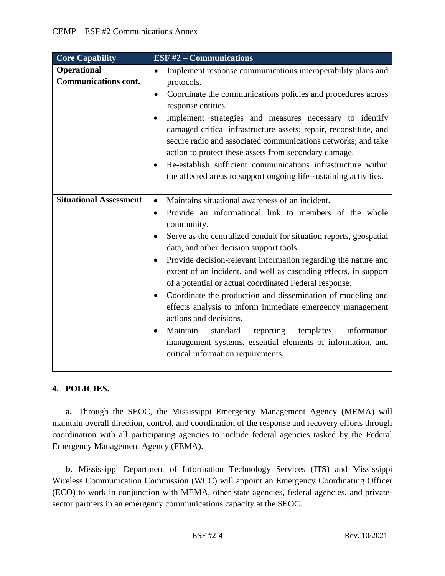| <b>Core Capability</b>                            | ESF $#2$ – Communications                                                                                                                                                                                                                                                                                                                                                                                                                                                                                                                                                                                                                                                                                                                                                                                            |
|---------------------------------------------------|----------------------------------------------------------------------------------------------------------------------------------------------------------------------------------------------------------------------------------------------------------------------------------------------------------------------------------------------------------------------------------------------------------------------------------------------------------------------------------------------------------------------------------------------------------------------------------------------------------------------------------------------------------------------------------------------------------------------------------------------------------------------------------------------------------------------|
| <b>Operational</b><br><b>Communications cont.</b> | Implement response communications interoperability plans and<br>$\bullet$<br>protocols.<br>Coordinate the communications policies and procedures across<br>$\bullet$<br>response entities.<br>Implement strategies and measures necessary to identify<br>damaged critical infrastructure assets; repair, reconstitute, and<br>secure radio and associated communications networks; and take<br>action to protect these assets from secondary damage.<br>Re-establish sufficient communications infrastructure within<br>the affected areas to support ongoing life-sustaining activities.                                                                                                                                                                                                                            |
|                                                   |                                                                                                                                                                                                                                                                                                                                                                                                                                                                                                                                                                                                                                                                                                                                                                                                                      |
| <b>Situational Assessment</b>                     | Maintains situational awareness of an incident.<br>$\bullet$<br>Provide an informational link to members of the whole<br>$\bullet$<br>community.<br>Serve as the centralized conduit for situation reports, geospatial<br>data, and other decision support tools.<br>Provide decision-relevant information regarding the nature and<br>extent of an incident, and well as cascading effects, in support<br>of a potential or actual coordinated Federal response.<br>Coordinate the production and dissemination of modeling and<br>$\bullet$<br>effects analysis to inform immediate emergency management<br>actions and decisions.<br>Maintain<br>standard<br>reporting<br>templates, information<br>$\bullet$<br>management systems, essential elements of information, and<br>critical information requirements. |

# **4. POLICIES.**

**a.** Through the SEOC, the Mississippi Emergency Management Agency (MEMA) will maintain overall direction, control, and coordination of the response and recovery efforts through coordination with all participating agencies to include federal agencies tasked by the Federal Emergency Management Agency (FEMA).

**b.** Mississippi Department of Information Technology Services (ITS) and Mississippi Wireless Communication Commission (WCC) will appoint an Emergency Coordinating Officer (ECO) to work in conjunction with MEMA, other state agencies, federal agencies, and privatesector partners in an emergency communications capacity at the SEOC.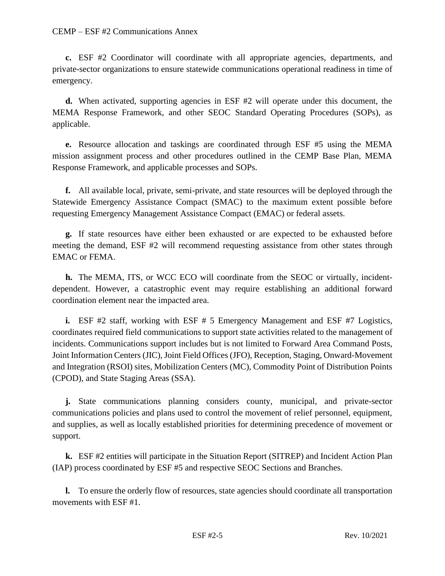#### CEMP – ESF #2 Communications Annex

**c.** ESF #2 Coordinator will coordinate with all appropriate agencies, departments, and private-sector organizations to ensure statewide communications operational readiness in time of emergency.

**d.** When activated, supporting agencies in ESF #2 will operate under this document, the MEMA Response Framework, and other SEOC Standard Operating Procedures (SOPs), as applicable.

**e.** Resource allocation and taskings are coordinated through ESF #5 using the MEMA mission assignment process and other procedures outlined in the CEMP Base Plan, MEMA Response Framework, and applicable processes and SOPs.

**f.** All available local, private, semi-private, and state resources will be deployed through the Statewide Emergency Assistance Compact (SMAC) to the maximum extent possible before requesting Emergency Management Assistance Compact (EMAC) or federal assets.

**g.** If state resources have either been exhausted or are expected to be exhausted before meeting the demand, ESF #2 will recommend requesting assistance from other states through EMAC or FEMA.

**h.** The MEMA, ITS, or WCC ECO will coordinate from the SEOC or virtually, incidentdependent. However, a catastrophic event may require establishing an additional forward coordination element near the impacted area.

**i.** ESF #2 staff, working with ESF # 5 Emergency Management and ESF #7 Logistics, coordinates required field communications to support state activities related to the management of incidents. Communications support includes but is not limited to Forward Area Command Posts, Joint Information Centers (JIC), Joint Field Offices (JFO), Reception, Staging, Onward-Movement and Integration (RSOI) sites, Mobilization Centers (MC), Commodity Point of Distribution Points (CPOD), and State Staging Areas (SSA).

**j.** State communications planning considers county, municipal, and private-sector communications policies and plans used to control the movement of relief personnel, equipment, and supplies, as well as locally established priorities for determining precedence of movement or support.

**k.** ESF #2 entities will participate in the Situation Report (SITREP) and Incident Action Plan (IAP) process coordinated by ESF #5 and respective SEOC Sections and Branches.

**l.** To ensure the orderly flow of resources, state agencies should coordinate all transportation movements with ESF #1.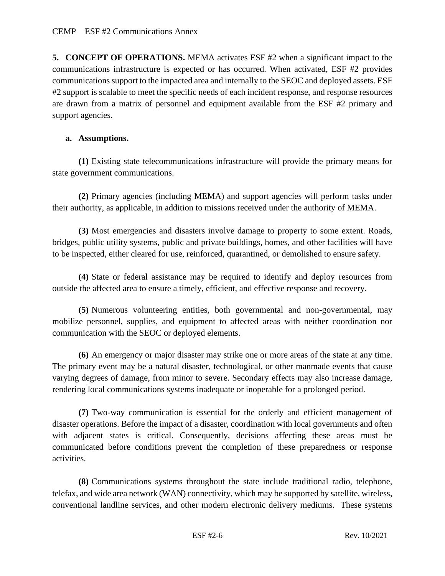**5. CONCEPT OF OPERATIONS.** MEMA activates ESF #2 when a significant impact to the communications infrastructure is expected or has occurred. When activated, ESF #2 provides communications support to the impacted area and internally to the SEOC and deployed assets. ESF #2 support is scalable to meet the specific needs of each incident response, and response resources are drawn from a matrix of personnel and equipment available from the ESF #2 primary and support agencies.

#### **a. Assumptions.**

**(1)** Existing state telecommunications infrastructure will provide the primary means for state government communications.

**(2)** Primary agencies (including MEMA) and support agencies will perform tasks under their authority, as applicable, in addition to missions received under the authority of MEMA.

**(3)** Most emergencies and disasters involve damage to property to some extent. Roads, bridges, public utility systems, public and private buildings, homes, and other facilities will have to be inspected, either cleared for use, reinforced, quarantined, or demolished to ensure safety.

**(4)** State or federal assistance may be required to identify and deploy resources from outside the affected area to ensure a timely, efficient, and effective response and recovery.

**(5)** Numerous volunteering entities, both governmental and non-governmental, may mobilize personnel, supplies, and equipment to affected areas with neither coordination nor communication with the SEOC or deployed elements.

**(6)** An emergency or major disaster may strike one or more areas of the state at any time. The primary event may be a natural disaster, technological, or other manmade events that cause varying degrees of damage, from minor to severe. Secondary effects may also increase damage, rendering local communications systems inadequate or inoperable for a prolonged period.

**(7)** Two-way communication is essential for the orderly and efficient management of disaster operations. Before the impact of a disaster, coordination with local governments and often with adjacent states is critical. Consequently, decisions affecting these areas must be communicated before conditions prevent the completion of these preparedness or response activities.

**(8)** Communications systems throughout the state include traditional radio, telephone, telefax, and wide area network (WAN) connectivity, which may be supported by satellite, wireless, conventional landline services, and other modern electronic delivery mediums. These systems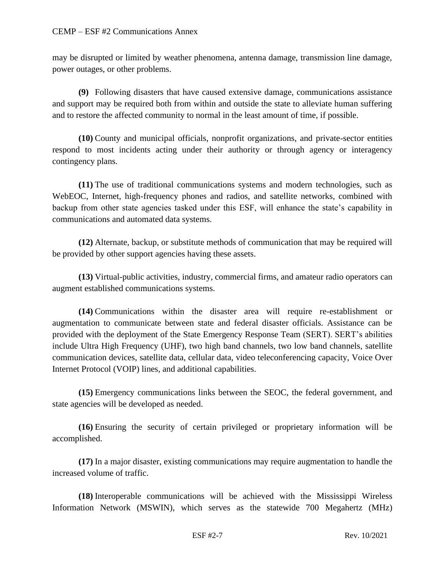may be disrupted or limited by weather phenomena, antenna damage, transmission line damage, power outages, or other problems.

**(9)** Following disasters that have caused extensive damage, communications assistance and support may be required both from within and outside the state to alleviate human suffering and to restore the affected community to normal in the least amount of time, if possible.

**(10)** County and municipal officials, nonprofit organizations, and private-sector entities respond to most incidents acting under their authority or through agency or interagency contingency plans.

**(11)** The use of traditional communications systems and modern technologies, such as WebEOC, Internet, high-frequency phones and radios, and satellite networks, combined with backup from other state agencies tasked under this ESF, will enhance the state's capability in communications and automated data systems.

**(12)** Alternate, backup, or substitute methods of communication that may be required will be provided by other support agencies having these assets.

**(13)** Virtual-public activities, industry, commercial firms, and amateur radio operators can augment established communications systems.

**(14)** Communications within the disaster area will require re-establishment or augmentation to communicate between state and federal disaster officials. Assistance can be provided with the deployment of the State Emergency Response Team (SERT). SERT's abilities include Ultra High Frequency (UHF), two high band channels, two low band channels, satellite communication devices, satellite data, cellular data, video teleconferencing capacity, Voice Over Internet Protocol (VOIP) lines, and additional capabilities.

**(15)** Emergency communications links between the SEOC, the federal government, and state agencies will be developed as needed.

**(16)** Ensuring the security of certain privileged or proprietary information will be accomplished.

**(17)** In a major disaster, existing communications may require augmentation to handle the increased volume of traffic.

**(18)** Interoperable communications will be achieved with the Mississippi Wireless Information Network (MSWIN), which serves as the statewide 700 Megahertz (MHz)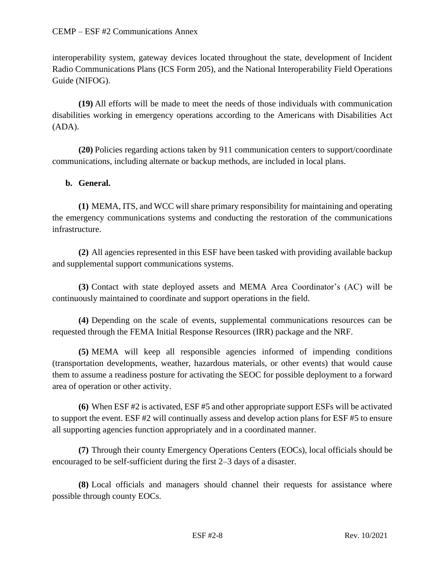interoperability system, gateway devices located throughout the state, development of Incident Radio Communications Plans (ICS Form 205), and the National Interoperability Field Operations Guide (NIFOG).

**(19)** All efforts will be made to meet the needs of those individuals with communication disabilities working in emergency operations according to the Americans with Disabilities Act (ADA).

**(20)** Policies regarding actions taken by 911 communication centers to support/coordinate communications, including alternate or backup methods, are included in local plans.

# **b. General.**

**(1)** MEMA, ITS, and WCC will share primary responsibility for maintaining and operating the emergency communications systems and conducting the restoration of the communications infrastructure.

**(2)** All agencies represented in this ESF have been tasked with providing available backup and supplemental support communications systems.

**(3)** Contact with state deployed assets and MEMA Area Coordinator's (AC) will be continuously maintained to coordinate and support operations in the field.

**(4)** Depending on the scale of events, supplemental communications resources can be requested through the FEMA Initial Response Resources (IRR) package and the NRF.

**(5)** MEMA will keep all responsible agencies informed of impending conditions (transportation developments, weather, hazardous materials, or other events) that would cause them to assume a readiness posture for activating the SEOC for possible deployment to a forward area of operation or other activity.

**(6)** When ESF #2 is activated, ESF #5 and other appropriate support ESFs will be activated to support the event. ESF #2 will continually assess and develop action plans for ESF #5 to ensure all supporting agencies function appropriately and in a coordinated manner.

**(7)** Through their county Emergency Operations Centers (EOCs), local officials should be encouraged to be self-sufficient during the first 2–3 days of a disaster.

**(8)** Local officials and managers should channel their requests for assistance where possible through county EOCs.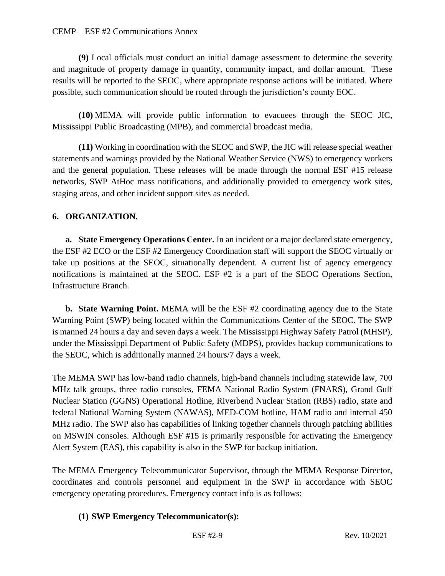**(9)** Local officials must conduct an initial damage assessment to determine the severity and magnitude of property damage in quantity, community impact, and dollar amount. These results will be reported to the SEOC, where appropriate response actions will be initiated. Where possible, such communication should be routed through the jurisdiction's county EOC.

**(10)** MEMA will provide public information to evacuees through the SEOC JIC, Mississippi Public Broadcasting (MPB), and commercial broadcast media.

**(11)** Working in coordination with the SEOC and SWP, the JIC will release special weather statements and warnings provided by the National Weather Service (NWS) to emergency workers and the general population. These releases will be made through the normal ESF #15 release networks, SWP AtHoc mass notifications, and additionally provided to emergency work sites, staging areas, and other incident support sites as needed.

# **6. ORGANIZATION.**

**a. State Emergency Operations Center.** In an incident or a major declared state emergency, the ESF #2 ECO or the ESF #2 Emergency Coordination staff will support the SEOC virtually or take up positions at the SEOC, situationally dependent. A current list of agency emergency notifications is maintained at the SEOC. ESF #2 is a part of the SEOC Operations Section, Infrastructure Branch.

**b. State Warning Point.** MEMA will be the ESF #2 coordinating agency due to the State Warning Point (SWP) being located within the Communications Center of the SEOC. The SWP is manned 24 hours a day and seven days a week. The Mississippi Highway Safety Patrol (MHSP), under the Mississippi Department of Public Safety (MDPS), provides backup communications to the SEOC, which is additionally manned 24 hours/7 days a week.

The MEMA SWP has low-band radio channels, high-band channels including statewide law, 700 MHz talk groups, three radio consoles, FEMA National Radio System (FNARS), Grand Gulf Nuclear Station (GGNS) Operational Hotline, Riverbend Nuclear Station (RBS) radio, state and federal National Warning System (NAWAS), MED-COM hotline, HAM radio and internal 450 MHz radio. The SWP also has capabilities of linking together channels through patching abilities on MSWIN consoles. Although ESF #15 is primarily responsible for activating the Emergency Alert System (EAS), this capability is also in the SWP for backup initiation.

The MEMA Emergency Telecommunicator Supervisor, through the MEMA Response Director, coordinates and controls personnel and equipment in the SWP in accordance with SEOC emergency operating procedures. Emergency contact info is as follows:

# **(1) SWP Emergency Telecommunicator(s):**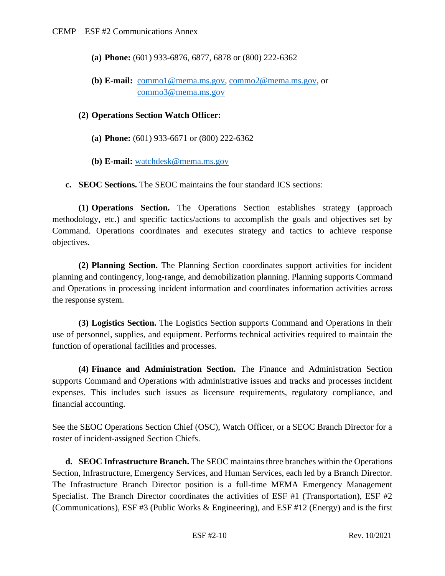- **(a) Phone:** (601) 933-6876, 6877, 6878 or (800) 222-6362
- **(b) E-mail:** [commo1@mema.ms.gov,](mailto:commo1@mema.ms.gov) [commo2@mema.ms.gov,](mailto:commo2@mema.ms.gov) or [commo3@mema.ms.gov](mailto:commo3@mema.ms.gov)

#### **(2) Operations Section Watch Officer:**

- **(a) Phone:** (601) 933-6671 or (800) 222-6362
- **(b) E-mail:** [watchdesk@mema.ms.gov](mailto:watchdesk@mema.ms.gov)
- **c. SEOC Sections.** The SEOC maintains the four standard ICS sections:

**(1) Operations Section.** The Operations Section establishes strategy (approach methodology, etc.) and specific tactics/actions to accomplish the goals and objectives set by Command. Operations coordinates and executes strategy and tactics to achieve response objectives.

**(2) Planning Section.** The Planning Section coordinates support activities for incident planning and contingency, long-range, and demobilization planning. Planning supports Command and Operations in processing incident information and coordinates information activities across the response system.

**(3) Logistics Section.** The Logistics Section **s**upports Command and Operations in their use of personnel, supplies, and equipment. Performs technical activities required to maintain the function of operational facilities and processes.

**(4) Finance and Administration Section.** The Finance and Administration Section **s**upports Command and Operations with administrative issues and tracks and processes incident expenses. This includes such issues as licensure requirements, regulatory compliance, and financial accounting.

See the SEOC Operations Section Chief (OSC), Watch Officer, or a SEOC Branch Director for a roster of incident-assigned Section Chiefs.

**d. SEOC Infrastructure Branch.** The SEOC maintains three branches within the Operations Section, Infrastructure, Emergency Services, and Human Services, each led by a Branch Director. The Infrastructure Branch Director position is a full-time MEMA Emergency Management Specialist. The Branch Director coordinates the activities of ESF #1 (Transportation), ESF #2 (Communications), ESF #3 (Public Works & Engineering), and ESF #12 (Energy) and is the first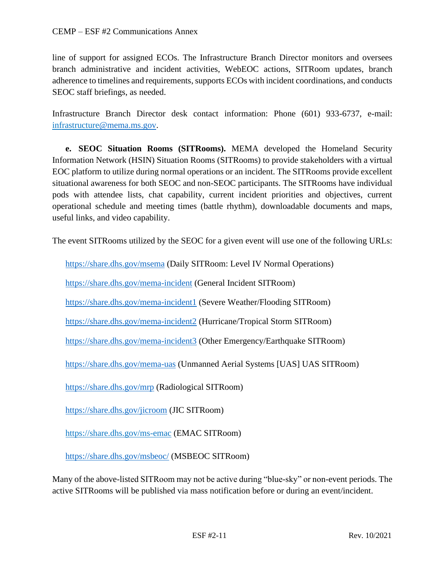line of support for assigned ECOs. The Infrastructure Branch Director monitors and oversees branch administrative and incident activities, WebEOC actions, SITRoom updates, branch adherence to timelines and requirements, supports ECOs with incident coordinations, and conducts SEOC staff briefings, as needed.

Infrastructure Branch Director desk contact information: Phone (601) 933-6737, e-mail: [infrastructure@mema.ms.gov.](mailto:infrastructure@mema.ms.gov)

**e. SEOC Situation Rooms (SITRooms).** MEMA developed the Homeland Security Information Network (HSIN) Situation Rooms (SITRooms) to provide stakeholders with a virtual EOC platform to utilize during normal operations or an incident. The SITRooms provide excellent situational awareness for both SEOC and non-SEOC participants. The SITRooms have individual pods with attendee lists, chat capability, current incident priorities and objectives, current operational schedule and meeting times (battle rhythm), downloadable documents and maps, useful links, and video capability.

The event SITRooms utilized by the SEOC for a given event will use one of the following URLs:

<https://share.dhs.gov/msema> (Daily SITRoom: Level IV Normal Operations)

<https://share.dhs.gov/mema-incident> (General Incident SITRoom)

<https://share.dhs.gov/mema-incident1> (Severe Weather/Flooding SITRoom)

<https://share.dhs.gov/mema-incident2> (Hurricane/Tropical Storm SITRoom)

<https://share.dhs.gov/mema-incident3> (Other Emergency/Earthquake SITRoom)

<https://share.dhs.gov/mema-uas> (Unmanned Aerial Systems [UAS] UAS SITRoom)

<https://share.dhs.gov/mrp> (Radiological SITRoom)

<https://share.dhs.gov/jicroom> (JIC SITRoom)

<https://share.dhs.gov/ms-emac> (EMAC SITRoom)

<https://share.dhs.gov/msbeoc/> (MSBEOC SITRoom)

Many of the above-listed SITRoom may not be active during "blue-sky" or non-event periods. The active SITRooms will be published via mass notification before or during an event/incident.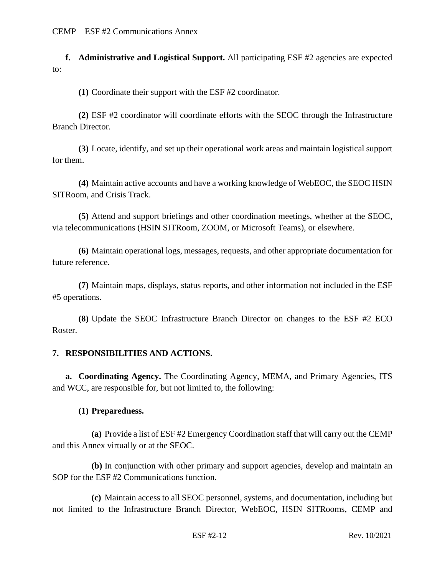**f. Administrative and Logistical Support.** All participating ESF #2 agencies are expected to:

**(1)** Coordinate their support with the ESF #2 coordinator.

**(2)** ESF #2 coordinator will coordinate efforts with the SEOC through the Infrastructure Branch Director.

**(3)** Locate, identify, and set up their operational work areas and maintain logistical support for them.

**(4)** Maintain active accounts and have a working knowledge of WebEOC, the SEOC HSIN SITRoom, and Crisis Track.

**(5)** Attend and support briefings and other coordination meetings, whether at the SEOC, via telecommunications (HSIN SITRoom, ZOOM, or Microsoft Teams), or elsewhere.

**(6)** Maintain operational logs, messages, requests, and other appropriate documentation for future reference.

**(7)** Maintain maps, displays, status reports, and other information not included in the ESF #5 operations.

**(8)** Update the SEOC Infrastructure Branch Director on changes to the ESF #2 ECO Roster.

#### **7. RESPONSIBILITIES AND ACTIONS.**

**a. Coordinating Agency.** The Coordinating Agency, MEMA, and Primary Agencies, ITS and WCC, are responsible for, but not limited to, the following:

### **(1) Preparedness.**

**(a)** Provide a list of ESF #2 Emergency Coordination staff that will carry out the CEMP and this Annex virtually or at the SEOC.

**(b)** In conjunction with other primary and support agencies, develop and maintain an SOP for the ESF #2 Communications function.

**(c)** Maintain access to all SEOC personnel, systems, and documentation, including but not limited to the Infrastructure Branch Director, WebEOC, HSIN SITRooms, CEMP and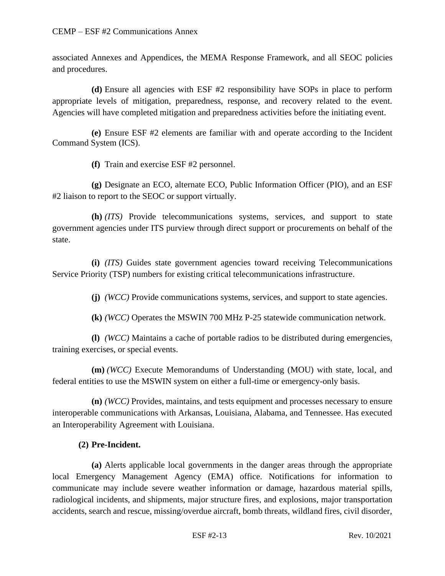associated Annexes and Appendices, the MEMA Response Framework, and all SEOC policies and procedures.

**(d)** Ensure all agencies with ESF #2 responsibility have SOPs in place to perform appropriate levels of mitigation, preparedness, response, and recovery related to the event. Agencies will have completed mitigation and preparedness activities before the initiating event.

**(e)** Ensure ESF #2 elements are familiar with and operate according to the Incident Command System (ICS).

**(f)** Train and exercise ESF #2 personnel.

**(g)** Designate an ECO, alternate ECO, Public Information Officer (PIO), and an ESF #2 liaison to report to the SEOC or support virtually.

**(h)** *(ITS)* Provide telecommunications systems, services, and support to state government agencies under ITS purview through direct support or procurements on behalf of the state.

**(i)** *(ITS)* Guides state government agencies toward receiving Telecommunications Service Priority (TSP) numbers for existing critical telecommunications infrastructure.

**(j)** *(WCC)* Provide communications systems, services, and support to state agencies.

**(k)** *(WCC)* Operates the MSWIN 700 MHz P-25 statewide communication network.

**(l)** *(WCC)* Maintains a cache of portable radios to be distributed during emergencies, training exercises, or special events.

**(m)** *(WCC)* Execute Memorandums of Understanding (MOU) with state, local, and federal entities to use the MSWIN system on either a full-time or emergency-only basis.

**(n)** *(WCC)* Provides, maintains, and tests equipment and processes necessary to ensure interoperable communications with Arkansas, Louisiana, Alabama, and Tennessee. Has executed an Interoperability Agreement with Louisiana.

# **(2) Pre-Incident.**

**(a)** Alerts applicable local governments in the danger areas through the appropriate local Emergency Management Agency (EMA) office. Notifications for information to communicate may include severe weather information or damage, hazardous material spills, radiological incidents, and shipments, major structure fires, and explosions, major transportation accidents, search and rescue, missing/overdue aircraft, bomb threats, wildland fires, civil disorder,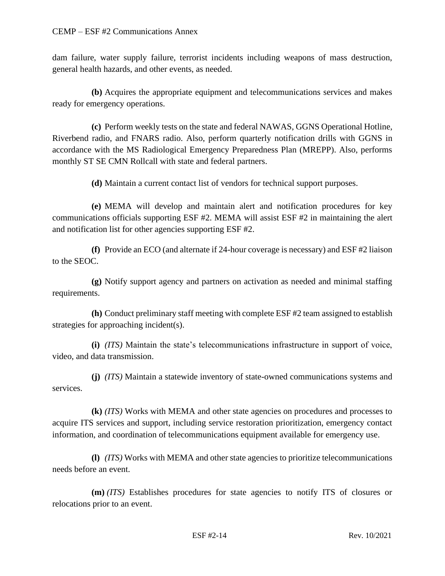dam failure, water supply failure, terrorist incidents including weapons of mass destruction, general health hazards, and other events, as needed.

**(b)** Acquires the appropriate equipment and telecommunications services and makes ready for emergency operations.

**(c)** Perform weekly tests on the state and federal NAWAS, GGNS Operational Hotline, Riverbend radio, and FNARS radio. Also, perform quarterly notification drills with GGNS in accordance with the MS Radiological Emergency Preparedness Plan (MREPP). Also, performs monthly ST SE CMN Rollcall with state and federal partners.

**(d)** Maintain a current contact list of vendors for technical support purposes.

**(e)** MEMA will develop and maintain alert and notification procedures for key communications officials supporting ESF #2. MEMA will assist ESF #2 in maintaining the alert and notification list for other agencies supporting ESF #2.

**(f)** Provide an ECO (and alternate if 24-hour coverage is necessary) and ESF #2 liaison to the SEOC.

**(g)** Notify support agency and partners on activation as needed and minimal staffing requirements.

**(h)** Conduct preliminary staff meeting with complete ESF #2 team assigned to establish strategies for approaching incident(s).

**(i)** *(ITS)* Maintain the state's telecommunications infrastructure in support of voice, video, and data transmission.

**(j)** *(ITS)* Maintain a statewide inventory of state-owned communications systems and services.

**(k)** *(ITS)* Works with MEMA and other state agencies on procedures and processes to acquire ITS services and support, including service restoration prioritization, emergency contact information, and coordination of telecommunications equipment available for emergency use.

**(l)** *(ITS)* Works with MEMA and other state agencies to prioritize telecommunications needs before an event.

**(m)** *(ITS)* Establishes procedures for state agencies to notify ITS of closures or relocations prior to an event.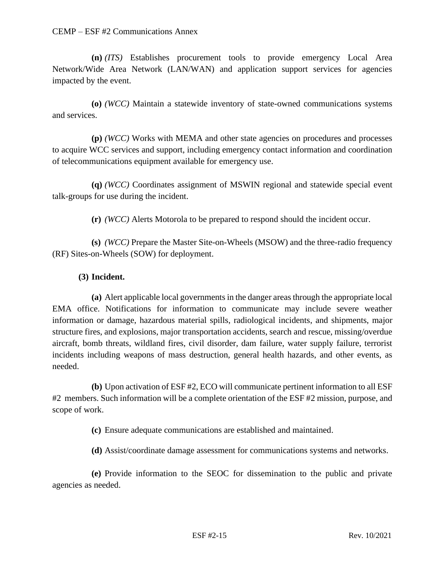**(n)** *(ITS)* Establishes procurement tools to provide emergency Local Area Network/Wide Area Network (LAN/WAN) and application support services for agencies impacted by the event.

**(o)** *(WCC)* Maintain a statewide inventory of state-owned communications systems and services.

**(p)** *(WCC)* Works with MEMA and other state agencies on procedures and processes to acquire WCC services and support, including emergency contact information and coordination of telecommunications equipment available for emergency use.

**(q)** *(WCC)* Coordinates assignment of MSWIN regional and statewide special event talk-groups for use during the incident.

**(r)** *(WCC)* Alerts Motorola to be prepared to respond should the incident occur.

**(s)** *(WCC)* Prepare the Master Site-on-Wheels (MSOW) and the three-radio frequency (RF) Sites-on-Wheels (SOW) for deployment.

### **(3) Incident.**

**(a)** Alert applicable local governments in the danger areas through the appropriate local EMA office. Notifications for information to communicate may include severe weather information or damage, hazardous material spills, radiological incidents, and shipments, major structure fires, and explosions, major transportation accidents, search and rescue, missing/overdue aircraft, bomb threats, wildland fires, civil disorder, dam failure, water supply failure, terrorist incidents including weapons of mass destruction, general health hazards, and other events, as needed.

**(b)** Upon activation of ESF #2, ECO will communicate pertinent information to all ESF #2 members. Such information will be a complete orientation of the ESF #2 mission, purpose, and scope of work.

**(c)** Ensure adequate communications are established and maintained.

**(d)** Assist/coordinate damage assessment for communications systems and networks.

**(e)** Provide information to the SEOC for dissemination to the public and private agencies as needed.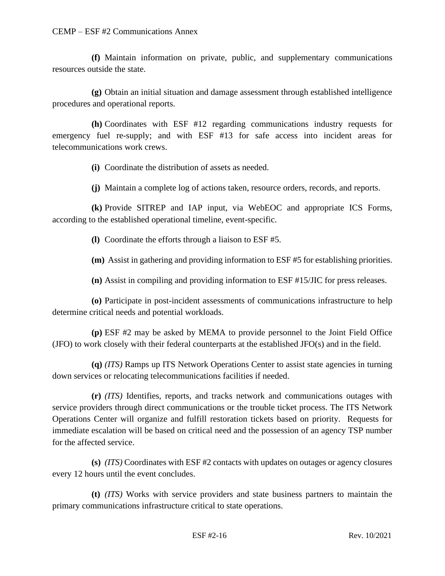**(f)** Maintain information on private, public, and supplementary communications resources outside the state.

**(g)** Obtain an initial situation and damage assessment through established intelligence procedures and operational reports.

**(h)** Coordinates with ESF #12 regarding communications industry requests for emergency fuel re-supply; and with ESF #13 for safe access into incident areas for telecommunications work crews.

**(i)** Coordinate the distribution of assets as needed.

**(j)** Maintain a complete log of actions taken, resource orders, records, and reports.

**(k)** Provide SITREP and IAP input, via WebEOC and appropriate ICS Forms, according to the established operational timeline, event-specific.

**(l)** Coordinate the efforts through a liaison to ESF #5.

**(m)** Assist in gathering and providing information to ESF #5 for establishing priorities.

**(n)** Assist in compiling and providing information to ESF #15/JIC for press releases.

**(o)** Participate in post-incident assessments of communications infrastructure to help determine critical needs and potential workloads.

**(p)** ESF #2 may be asked by MEMA to provide personnel to the Joint Field Office (JFO) to work closely with their federal counterparts at the established JFO(s) and in the field.

**(q)** *(ITS)* Ramps up ITS Network Operations Center to assist state agencies in turning down services or relocating telecommunications facilities if needed.

**(r)** *(ITS)* Identifies, reports, and tracks network and communications outages with service providers through direct communications or the trouble ticket process. The ITS Network Operations Center will organize and fulfill restoration tickets based on priority. Requests for immediate escalation will be based on critical need and the possession of an agency TSP number for the affected service.

**(s)** *(ITS)* Coordinates with ESF #2 contacts with updates on outages or agency closures every 12 hours until the event concludes.

**(t)** *(ITS)* Works with service providers and state business partners to maintain the primary communications infrastructure critical to state operations.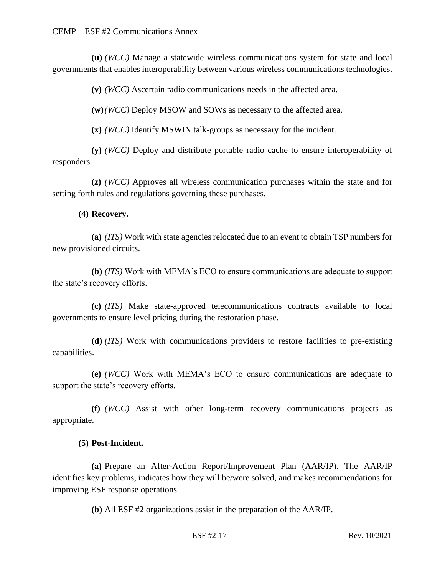**(u)** *(WCC)* Manage a statewide wireless communications system for state and local governments that enables interoperability between various wireless communications technologies.

**(v)** *(WCC)* Ascertain radio communications needs in the affected area.

**(w)***(WCC)* Deploy MSOW and SOWs as necessary to the affected area.

**(x)** *(WCC)* Identify MSWIN talk-groups as necessary for the incident.

**(y)** *(WCC)* Deploy and distribute portable radio cache to ensure interoperability of responders.

**(z)** *(WCC)* Approves all wireless communication purchases within the state and for setting forth rules and regulations governing these purchases.

### **(4) Recovery.**

**(a)** *(ITS)* Work with state agencies relocated due to an event to obtain TSP numbers for new provisioned circuits.

**(b)** *(ITS)* Work with MEMA's ECO to ensure communications are adequate to support the state's recovery efforts.

**(c)** *(ITS)* Make state-approved telecommunications contracts available to local governments to ensure level pricing during the restoration phase.

**(d)** *(ITS)* Work with communications providers to restore facilities to pre-existing capabilities.

**(e)** *(WCC)* Work with MEMA's ECO to ensure communications are adequate to support the state's recovery efforts.

**(f)** *(WCC)* Assist with other long-term recovery communications projects as appropriate.

### **(5) Post-Incident.**

**(a)** Prepare an After-Action Report/Improvement Plan (AAR/IP). The AAR/IP identifies key problems, indicates how they will be/were solved, and makes recommendations for improving ESF response operations.

**(b)** All ESF #2 organizations assist in the preparation of the AAR/IP.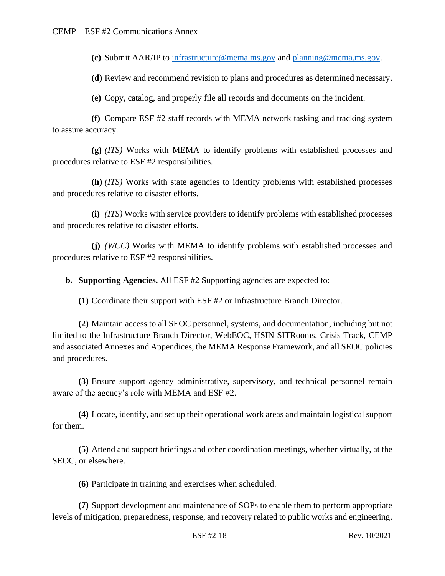**(c)** Submit AAR/IP to [infrastructure@mema.ms.gov](mailto:infrastructure@mema.ms.gov) and [planning@mema.ms.gov.](mailto:planning@mema.ms.gov)

**(d)** Review and recommend revision to plans and procedures as determined necessary.

**(e)** Copy, catalog, and properly file all records and documents on the incident.

**(f)** Compare ESF #2 staff records with MEMA network tasking and tracking system to assure accuracy.

**(g)** *(ITS)* Works with MEMA to identify problems with established processes and procedures relative to ESF #2 responsibilities.

**(h)** *(ITS)* Works with state agencies to identify problems with established processes and procedures relative to disaster efforts.

**(i)** *(ITS)* Works with service providers to identify problems with established processes and procedures relative to disaster efforts.

**(j)** *(WCC)* Works with MEMA to identify problems with established processes and procedures relative to ESF #2 responsibilities.

**b. Supporting Agencies.** All ESF #2 Supporting agencies are expected to:

**(1)** Coordinate their support with ESF #2 or Infrastructure Branch Director.

**(2)** Maintain access to all SEOC personnel, systems, and documentation, including but not limited to the Infrastructure Branch Director, WebEOC, HSIN SITRooms, Crisis Track, CEMP and associated Annexes and Appendices, the MEMA Response Framework, and all SEOC policies and procedures.

**(3)** Ensure support agency administrative, supervisory, and technical personnel remain aware of the agency's role with MEMA and ESF #2.

**(4)** Locate, identify, and set up their operational work areas and maintain logistical support for them.

**(5)** Attend and support briefings and other coordination meetings, whether virtually, at the SEOC, or elsewhere.

**(6)** Participate in training and exercises when scheduled.

**(7)** Support development and maintenance of SOPs to enable them to perform appropriate levels of mitigation, preparedness, response, and recovery related to public works and engineering.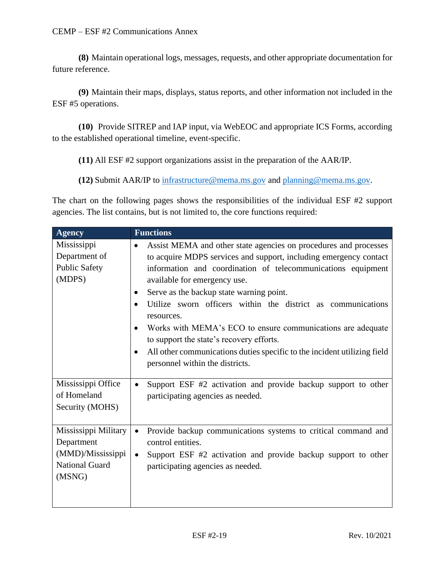CEMP – ESF #2 Communications Annex

**(8)** Maintain operational logs, messages, requests, and other appropriate documentation for future reference.

**(9)** Maintain their maps, displays, status reports, and other information not included in the ESF #5 operations.

**(10)** Provide SITREP and IAP input, via WebEOC and appropriate ICS Forms, according to the established operational timeline, event-specific.

**(11)** All ESF #2 support organizations assist in the preparation of the AAR/IP.

**(12)** Submit AAR/IP to [infrastructure@mema.ms.gov](mailto:infrastructure@mema.ms.gov) and [planning@mema.ms.gov.](mailto:planning@mema.ms.gov)

The chart on the following pages shows the responsibilities of the individual ESF #2 support agencies. The list contains, but is not limited to, the core functions required:

| <b>Agency</b>                                                                       | <b>Functions</b>                                                                                                                                                                                                                                                                                                                                                                                                                                                                                                                                                                                                                                           |
|-------------------------------------------------------------------------------------|------------------------------------------------------------------------------------------------------------------------------------------------------------------------------------------------------------------------------------------------------------------------------------------------------------------------------------------------------------------------------------------------------------------------------------------------------------------------------------------------------------------------------------------------------------------------------------------------------------------------------------------------------------|
| Mississippi<br>Department of<br><b>Public Safety</b><br>(MDPS)                      | Assist MEMA and other state agencies on procedures and processes<br>$\bullet$<br>to acquire MDPS services and support, including emergency contact<br>information and coordination of telecommunications equipment<br>available for emergency use.<br>Serve as the backup state warning point.<br>$\bullet$<br>Utilize sworn officers within the district as communications<br>$\bullet$<br>resources.<br>Works with MEMA's ECO to ensure communications are adequate<br>$\bullet$<br>to support the state's recovery efforts.<br>All other communications duties specific to the incident utilizing field<br>$\bullet$<br>personnel within the districts. |
| Mississippi Office<br>of Homeland<br>Security (MOHS)                                | Support ESF #2 activation and provide backup support to other<br>$\bullet$<br>participating agencies as needed.                                                                                                                                                                                                                                                                                                                                                                                                                                                                                                                                            |
| Mississippi Military<br>Department<br>(MMD)/Mississippi<br>National Guard<br>(MSNG) | Provide backup communications systems to critical command and<br>$\bullet$<br>control entities.<br>Support ESF #2 activation and provide backup support to other<br>$\bullet$<br>participating agencies as needed.                                                                                                                                                                                                                                                                                                                                                                                                                                         |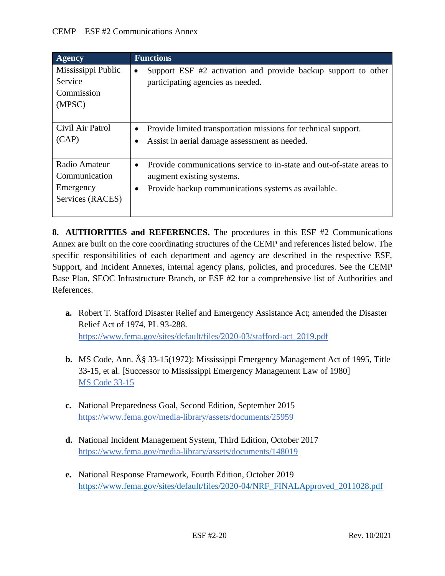| <b>Agency</b>                                                   | <b>Functions</b>                                                                                                                                         |
|-----------------------------------------------------------------|----------------------------------------------------------------------------------------------------------------------------------------------------------|
| Mississippi Public<br><b>Service</b><br>Commission<br>(MPSC)    | Support ESF #2 activation and provide backup support to other<br>$\bullet$<br>participating agencies as needed.                                          |
| Civil Air Patrol<br>(CAP)                                       | Provide limited transportation missions for technical support.<br>Assist in aerial damage assessment as needed.                                          |
| Radio Amateur<br>Communication<br>Emergency<br>Services (RACES) | Provide communications service to in-state and out-of-state areas to<br>augment existing systems.<br>Provide backup communications systems as available. |

**8. AUTHORITIES and REFERENCES.** The procedures in this ESF #2 Communications Annex are built on the core coordinating structures of the CEMP and references listed below. The specific responsibilities of each department and agency are described in the respective ESF, Support, and Incident Annexes, internal agency plans, policies, and procedures. See the CEMP Base Plan, SEOC Infrastructure Branch, or ESF #2 for a comprehensive list of Authorities and References.

- **a.** Robert T. Stafford Disaster Relief and Emergency Assistance Act; amended the Disaster Relief Act of 1974, PL 93-288. [https://www.fema.gov/sites/default/files/2020-03/stafford-act\\_2019.pdf](https://www.fema.gov/sites/default/files/2020-03/stafford-act_2019.pdf)
- **b.** MS Code, Ann. § 33-15(1972): Mississippi Emergency Management Act of 1995, Title 33-15, et al. [Successor to Mississippi Emergency Management Law of 1980] [MS Code 33-15](https://law.justia.com/codes/mississippi/2010/title-33/15/)
- **c.** National Preparedness Goal, Second Edition, September 2015 <https://www.fema.gov/media-library/assets/documents/25959>
- **d.** National Incident Management System, Third Edition, October 2017 <https://www.fema.gov/media-library/assets/documents/148019>
- **e.** National Response Framework, Fourth Edition, October 2019 [https://www.fema.gov/sites/default/files/2020-04/NRF\\_FINALApproved\\_2011028.pdf](https://www.fema.gov/sites/default/files/2020-04/NRF_FINALApproved_2011028.pdf)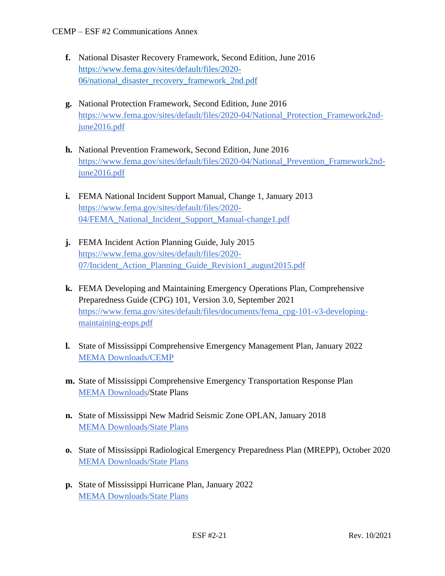- **f.** National Disaster Recovery Framework, Second Edition, June 2016 [https://www.fema.gov/sites/default/files/2020-](https://www.fema.gov/sites/default/files/2020-06/national_disaster_recovery_framework_2nd.pdf) [06/national\\_disaster\\_recovery\\_framework\\_2nd.pdf](https://www.fema.gov/sites/default/files/2020-06/national_disaster_recovery_framework_2nd.pdf)
- **g.** National Protection Framework, Second Edition, June 2016 [https://www.fema.gov/sites/default/files/2020-04/National\\_Protection\\_Framework2nd](https://www.fema.gov/sites/default/files/2020-04/National_Protection_Framework2nd-june2016.pdf)[june2016.pdf](https://www.fema.gov/sites/default/files/2020-04/National_Protection_Framework2nd-june2016.pdf)
- **h.** National Prevention Framework, Second Edition, June 2016 [https://www.fema.gov/sites/default/files/2020-04/National\\_Prevention\\_Framework2nd](https://www.fema.gov/sites/default/files/2020-04/National_Prevention_Framework2nd-june2016.pdf)[june2016.pdf](https://www.fema.gov/sites/default/files/2020-04/National_Prevention_Framework2nd-june2016.pdf)
- **i.** FEMA National Incident Support Manual, Change 1, January 2013 [https://www.fema.gov/sites/default/files/2020-](https://www.fema.gov/sites/default/files/2020-04/FEMA_National_Incident_Support_Manual-change1.pdf) [04/FEMA\\_National\\_Incident\\_Support\\_Manual-change1.pdf](https://www.fema.gov/sites/default/files/2020-04/FEMA_National_Incident_Support_Manual-change1.pdf)
- **j.** FEMA Incident Action Planning Guide, July 2015 [https://www.fema.gov/sites/default/files/2020-](https://www.fema.gov/sites/default/files/2020-07/Incident_Action_Planning_Guide_Revision1_august2015.pdf) [07/Incident\\_Action\\_Planning\\_Guide\\_Revision1\\_august2015.pdf](https://www.fema.gov/sites/default/files/2020-07/Incident_Action_Planning_Guide_Revision1_august2015.pdf)
- **k.** FEMA Developing and Maintaining Emergency Operations Plan, Comprehensive Preparedness Guide (CPG) 101, Version 3.0, September 2021 [https://www.fema.gov/sites/default/files/documents/fema\\_cpg-101-v3-developing](https://www.fema.gov/sites/default/files/documents/fema_cpg-101-v3-developing-maintaining-eops.pdf)[maintaining-eops.pdf](https://www.fema.gov/sites/default/files/documents/fema_cpg-101-v3-developing-maintaining-eops.pdf)
- **l.** State of Mississippi Comprehensive Emergency Management Plan, January 2022 [MEMA Downloads/CEMP](https://msmema.sharepoint.com/Shared%20Documents/Forms/AllItems.aspx?id=%2FShared%20Documents%2FMEMA%20Downloads%2FComprehensive%20Emergency%20Management%20Plan%20%2D%202022&viewid=8f98db8b%2D85b5%2D471a%2Db3cc%2D6cc4ee9e7407)
- **m.** State of Mississippi Comprehensive Emergency Transportation Response Plan [MEMA Downloads/](https://msmema.sharepoint.com/Shared%20Documents/Forms/AllItems.aspx?id=%2FShared%20Documents%2FMEMA%20Downloads%2FComprehensive%20Emergency%20Management%20Plan%20%2D%202022&viewid=8f98db8b%2D85b5%2D471a%2Db3cc%2D6cc4ee9e7407)State Plans
- **n.** State of Mississippi New Madrid Seismic Zone OPLAN, January 2018 [MEMA Downloads/State Plans](https://msmema.sharepoint.com/Shared%20Documents/Forms/AllItems.aspx?viewid=8f98db8b%2D85b5%2D471a%2Db3cc%2D6cc4ee9e7407&id=%2FShared%20Documents%2FMEMA%20Downloads%2FState%20Plans)
- **o.** State of Mississippi Radiological Emergency Preparedness Plan (MREPP), October 2020 [MEMA Downloads/State Plans](https://msmema.sharepoint.com/Shared%20Documents/Forms/AllItems.aspx?viewid=8f98db8b%2D85b5%2D471a%2Db3cc%2D6cc4ee9e7407&id=%2FShared%20Documents%2FMEMA%20Downloads%2FState%20Plans)
- **p.** State of Mississippi Hurricane Plan, January 2022 [MEMA Downloads/State Plans](https://msmema.sharepoint.com/Shared%20Documents/Forms/AllItems.aspx?viewid=8f98db8b%2D85b5%2D471a%2Db3cc%2D6cc4ee9e7407&id=%2FShared%20Documents%2FMEMA%20Downloads%2FState%20Plans)